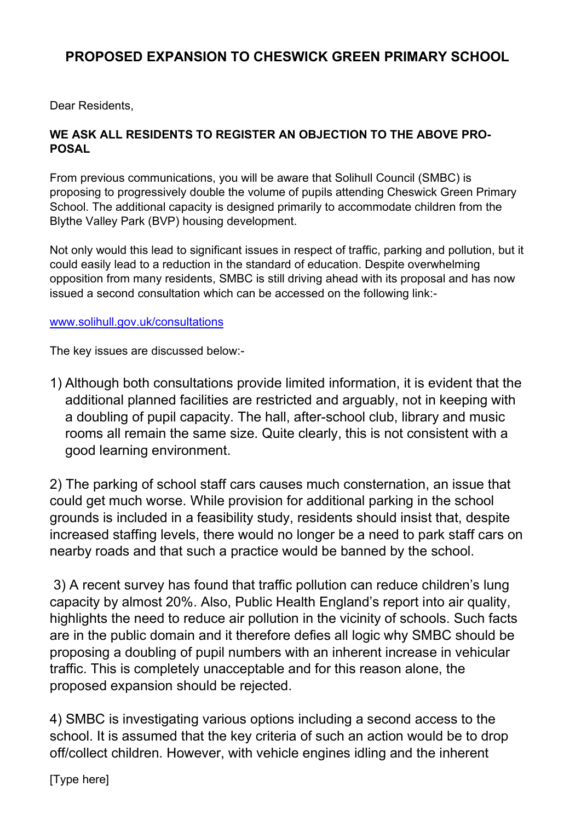## PROPOSED EXPANSION TO CHESWICK GREEN PRIMARY SCHOOL

Dear Residents,

## WE ASK ALL RESIDENTS TO REGISTER AN OBJECTION TO THE ABOVE PRO-POSAL

From previous communications, you will be aware that Solihull Council (SMBC) is proposing to progressively double the volume of pupils attending Cheswick Green Primary School. The additional capacity is designed primarily to accommodate children from the Blythe Valley Park (BVP) housing development.

Not only would this lead to significant issues in respect of traffic, parking and pollution, but it could easily lead to a reduction in the standard of education. Despite overwhelming opposition from many residents, SMBC is still driving ahead with its proposal and has now issued a second consultation which can be accessed on the following link:-

## www.solihull.gov.uk/consultations

The key issues are discussed below:-

1) Although both consultations provide limited information, it is evident that the additional planned facilities are restricted and arguably, not in keeping with a doubling of pupil capacity. The hall, after-school club, library and music rooms all remain the same size. Quite clearly, this is not consistent with a good learning environment.

 2) The parking of school staff cars causes much consternation, an issue that could get much worse. While provision for additional parking in the school grounds is included in a feasibility study, residents should insist that, despite increased staffing levels, there would no longer be a need to park staff cars on nearby roads and that such a practice would be banned by the school.

 3) A recent survey has found that traffic pollution can reduce children's lung capacity by almost 20%. Also, Public Health England's report into air quality, highlights the need to reduce air pollution in the vicinity of schools. Such facts are in the public domain and it therefore defies all logic why SMBC should be proposing a doubling of pupil numbers with an inherent increase in vehicular traffic. This is completely unacceptable and for this reason alone, the proposed expansion should be rejected.

4) SMBC is investigating various options including a second access to the school. It is assumed that the key criteria of such an action would be to drop off/collect children. However, with vehicle engines idling and the inherent